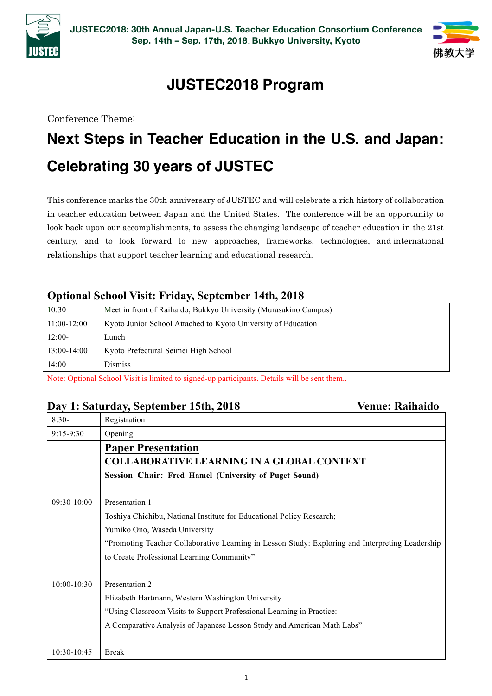



## **JUSTEC2018 Program**

Conference Theme:

# **Next Steps in Teacher Education in the U.S. and Japan: Celebrating 30 years of JUSTEC**

This conference marks the 30th anniversary of JUSTEC and will celebrate a rich history of collaboration in teacher education between Japan and the United States. The conference will be an opportunity to look back upon our accomplishments, to assess the changing landscape of teacher education in the 21st century, and to look forward to new approaches, frameworks, technologies, and international relationships that support teacher learning and educational research.

#### **Optional School Visit: Friday, September 14th, 2018**

| 10:30         | Meet in front of Raihaido, Bukkyo University (Murasakino Campus) |
|---------------|------------------------------------------------------------------|
| $11:00-12:00$ | Kyoto Junior School Attached to Kyoto University of Education    |
| $12:00-$      | Lunch                                                            |
| $13:00-14:00$ | Kyoto Prefectural Seimei High School                             |
| 14:00         | <b>Dismiss</b>                                                   |

Note: Optional School Visit is limited to signed-up participants. Details will be sent them..

#### **Day 1: Saturday, September 15th, 2018 Venue: Raihaido**

| $8:30-$         | Registration                                                                                     |
|-----------------|--------------------------------------------------------------------------------------------------|
| $9:15 - 9:30$   | Opening                                                                                          |
|                 | <b>Paper Presentation</b>                                                                        |
|                 | <b>COLLABORATIVE LEARNING IN A GLOBAL CONTEXT</b>                                                |
|                 | Session Chair: Fred Hamel (University of Puget Sound)                                            |
|                 |                                                                                                  |
| $09:30-10:00$   | Presentation 1                                                                                   |
|                 | Toshiya Chichibu, National Institute for Educational Policy Research;                            |
|                 | Yumiko Ono, Waseda University                                                                    |
|                 | "Promoting Teacher Collaborative Learning in Lesson Study: Exploring and Interpreting Leadership |
|                 | to Create Professional Learning Community"                                                       |
|                 |                                                                                                  |
| $10:00 - 10:30$ | Presentation 2                                                                                   |
|                 | Elizabeth Hartmann, Western Washington University                                                |
|                 | "Using Classroom Visits to Support Professional Learning in Practice:                            |
|                 | A Comparative Analysis of Japanese Lesson Study and American Math Labs"                          |
|                 |                                                                                                  |
| 10:30-10:45     | <b>Break</b>                                                                                     |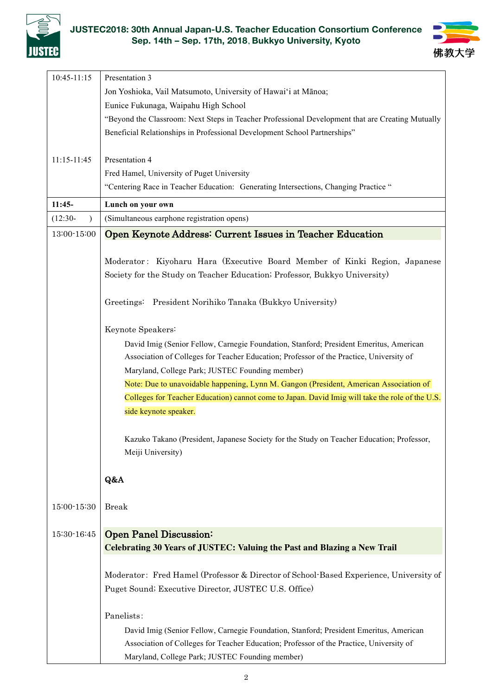

#### **JUSTEC2018: 30th Annual Japan-U.S. Teacher Education Consortium Conference Sep. 14th – Sep. 17th, 2018**, **Bukkyo University, Kyoto**



| $10:45 - 11:15$         | Presentation 3                                                                                   |
|-------------------------|--------------------------------------------------------------------------------------------------|
|                         | Jon Yoshioka, Vail Matsumoto, University of Hawai'i at Mānoa;                                    |
|                         | Eunice Fukunaga, Waipahu High School                                                             |
|                         | "Beyond the Classroom: Next Steps in Teacher Professional Development that are Creating Mutually |
|                         | Beneficial Relationships in Professional Development School Partnerships"                        |
|                         |                                                                                                  |
| $11:15 - 11:45$         | Presentation 4                                                                                   |
|                         | Fred Hamel, University of Puget University                                                       |
|                         | "Centering Race in Teacher Education: Generating Intersections, Changing Practice "              |
|                         |                                                                                                  |
| $11:45-$                | Lunch on your own                                                                                |
| $(12:30 -$<br>$\lambda$ | (Simultaneous earphone registration opens)                                                       |
| 13:00-15:00             | Open Keynote Address: Current Issues in Teacher Education                                        |
|                         |                                                                                                  |
|                         | Moderator: Kiyoharu Hara (Executive Board Member of Kinki Region, Japanese                       |
|                         | Society for the Study on Teacher Education; Professor, Bukkyo University)                        |
|                         |                                                                                                  |
|                         | Greetings: President Norihiko Tanaka (Bukkyo University)                                         |
|                         |                                                                                                  |
|                         | Keynote Speakers:                                                                                |
|                         | David Imig (Senior Fellow, Carnegie Foundation, Stanford; President Emeritus, American           |
|                         | Association of Colleges for Teacher Education; Professor of the Practice, University of          |
|                         | Maryland, College Park; JUSTEC Founding member)                                                  |
|                         | Note: Due to unavoidable happening, Lynn M. Gangon (President, American Association of           |
|                         | Colleges for Teacher Education) cannot come to Japan. David Imig will take the role of the U.S.  |
|                         | side keynote speaker.                                                                            |
|                         |                                                                                                  |
|                         | Kazuko Takano (President, Japanese Society for the Study on Teacher Education; Professor,        |
|                         | Meiji University)                                                                                |
|                         |                                                                                                  |
|                         | Q&A                                                                                              |
|                         |                                                                                                  |
| 15:00-15:30             | <b>Break</b>                                                                                     |
|                         |                                                                                                  |
| $15:30 - 16:45$         | <b>Open Panel Discussion:</b>                                                                    |
|                         | Celebrating 30 Years of JUSTEC: Valuing the Past and Blazing a New Trail                         |
|                         |                                                                                                  |
|                         | Moderator: Fred Hamel (Professor & Director of School-Based Experience, University of            |
|                         | Puget Sound; Executive Director, JUSTEC U.S. Office)                                             |
|                         |                                                                                                  |
|                         | Panelists:                                                                                       |
|                         | David Imig (Senior Fellow, Carnegie Foundation, Stanford; President Emeritus, American           |
|                         | Association of Colleges for Teacher Education; Professor of the Practice, University of          |
|                         | Maryland, College Park; JUSTEC Founding member)                                                  |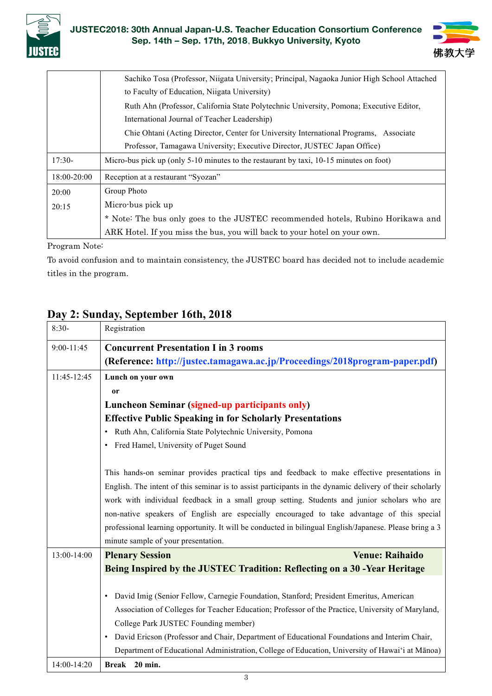



|             | Sachiko Tosa (Professor, Niigata University; Principal, Nagaoka Junior High School Attached<br>to Faculty of Education, Niigata University) |
|-------------|---------------------------------------------------------------------------------------------------------------------------------------------|
|             | Ruth Ahn (Professor, California State Polytechnic University, Pomona; Executive Editor,                                                     |
|             | International Journal of Teacher Leadership)                                                                                                |
|             | Chie Ohtani (Acting Director, Center for University International Programs, Associate                                                       |
|             | Professor, Tamagawa University; Executive Director, JUSTEC Japan Office)                                                                    |
| $17:30-$    | Micro-bus pick up (only 5-10 minutes to the restaurant by taxi, 10-15 minutes on foot)                                                      |
| 18:00-20:00 | Reception at a restaurant "Syozan"                                                                                                          |
| 20:00       | Group Photo                                                                                                                                 |
| 20:15       | Micro-bus pick up                                                                                                                           |
|             | * Note: The bus only goes to the JUSTEC recommended hotels, Rubino Horikawa and                                                             |
|             | ARK Hotel. If you miss the bus, you will back to your hotel on your own.                                                                    |

Program Note:

To avoid confusion and to maintain consistency, the JUSTEC board has decided not to include academic titles in the program.

### **Day 2: Sunday, September 16th, 2018**

| $8:30-$     | Registration                                                                                              |
|-------------|-----------------------------------------------------------------------------------------------------------|
| 9:00-11:45  | <b>Concurrent Presentation I in 3 rooms</b>                                                               |
|             | (Reference: http://justec.tamagawa.ac.jp/Proceedings/2018program-paper.pdf)                               |
| 11:45-12:45 | Lunch on your own                                                                                         |
|             | <sub>or</sub>                                                                                             |
|             | Luncheon Seminar (signed-up participants only)                                                            |
|             | <b>Effective Public Speaking in for Scholarly Presentations</b>                                           |
|             | • Ruth Ahn, California State Polytechnic University, Pomona                                               |
|             | • Fred Hamel, University of Puget Sound                                                                   |
|             |                                                                                                           |
|             | This hands-on seminar provides practical tips and feedback to make effective presentations in             |
|             | English. The intent of this seminar is to assist participants in the dynamic delivery of their scholarly  |
|             | work with individual feedback in a small group setting. Students and junior scholars who are              |
|             | non-native speakers of English are especially encouraged to take advantage of this special                |
|             | professional learning opportunity. It will be conducted in bilingual English/Japanese. Please bring a 3   |
|             | minute sample of your presentation.                                                                       |
| 13:00-14:00 | <b>Venue: Raihaido</b><br><b>Plenary Session</b>                                                          |
|             | Being Inspired by the JUSTEC Tradition: Reflecting on a 30 -Year Heritage                                 |
|             |                                                                                                           |
|             | David Imig (Senior Fellow, Carnegie Foundation, Stanford; President Emeritus, American<br>$\bullet$       |
|             | Association of Colleges for Teacher Education; Professor of the Practice, University of Maryland,         |
|             | College Park JUSTEC Founding member)                                                                      |
|             | David Ericson (Professor and Chair, Department of Educational Foundations and Interim Chair,<br>$\bullet$ |
|             | Department of Educational Administration, College of Education, University of Hawai'i at Mānoa)           |
| 14:00-14:20 | Break 20 min.                                                                                             |